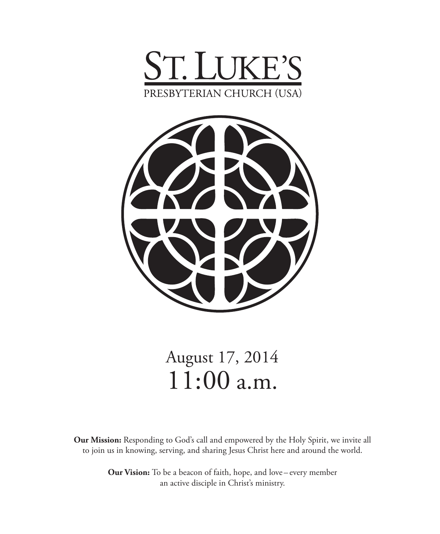



# August 17, 2014 11:00 a.m.

**Our Mission:** Responding to God's call and empowered by the Holy Spirit, we invite all to join us in knowing, serving, and sharing Jesus Christ here and around the world.

> **Our Vision:** To be a beacon of faith, hope, and love – every member an active disciple in Christ's ministry.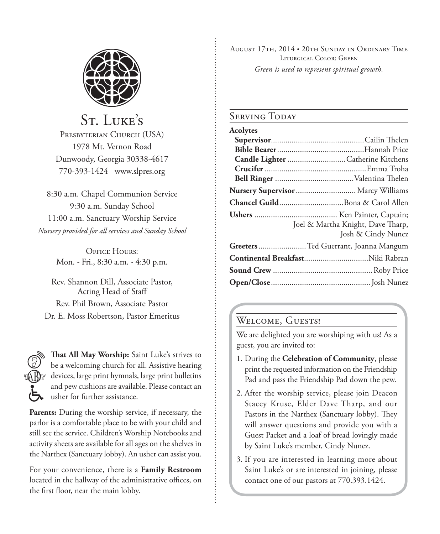

St. LUKE'S PRESBYTERIAN CHURCH (USA) 1978 Mt. Vernon Road Dunwoody, Georgia 30338-4617 770-393-1424 www.slpres.org

8:30 a.m. Chapel Communion Service 9:30 a.m. Sunday School 11:00 a.m. Sanctuary Worship Service *Nursery provided for all services and Sunday School*

> OFFICE HOURS' Mon. - Fri., 8:30 a.m. - 4:30 p.m.

Rev. Shannon Dill, Associate Pastor, Acting Head of Staff Rev. Phil Brown, Associate Pastor Dr. E. Moss Robertson, Pastor Emeritus



**That All May Worship:** Saint Luke's strives to be a welcoming church for all. Assistive hearing devices, large print hymnals, large print bulletins and pew cushions are available. Please contact an usher for further assistance.

**Parents:** During the worship service, if necessary, the parlor is a comfortable place to be with your child and still see the service. Children's Worship Notebooks and activity sheets are available for all ages on the shelves in the Narthex (Sanctuary lobby). An usher can assist you.

For your convenience, there is a **Family Restroom** located in the hallway of the administrative offices, on the first floor, near the main lobby.

August 17th, 2014 • 20th Sunday in Ordinary Time Liturgical Color: Green *Green is used to represent spiritual growth.* 

# Serving Today

| Acolytes |                                                         |
|----------|---------------------------------------------------------|
|          |                                                         |
|          |                                                         |
|          | Candle Lighter Catherine Kitchens                       |
|          |                                                         |
|          |                                                         |
|          | Nursery Supervisor  Marcy Williams                      |
|          |                                                         |
|          | Joel & Martha Knight, Dave Tharp,<br>Josh & Cindy Nunez |
|          | Greeters Ted Guerrant, Joanna Mangum                    |
|          |                                                         |
|          |                                                         |
|          |                                                         |

# WELCOME, GUESTS!

We are delighted you are worshiping with us! As a guest, you are invited to:

- 1. During the **Celebration of Community**, please print the requested information on the Friendship Pad and pass the Friendship Pad down the pew.
- 2. After the worship service, please join Deacon Stacey Kruse, Elder Dave Tharp, and our Pastors in the Narthex (Sanctuary lobby). They will answer questions and provide you with a Guest Packet and a loaf of bread lovingly made by Saint Luke's member, Cindy Nunez.
- 3. If you are interested in learning more about Saint Luke's or are interested in joining, please contact one of our pastors at 770.393.1424.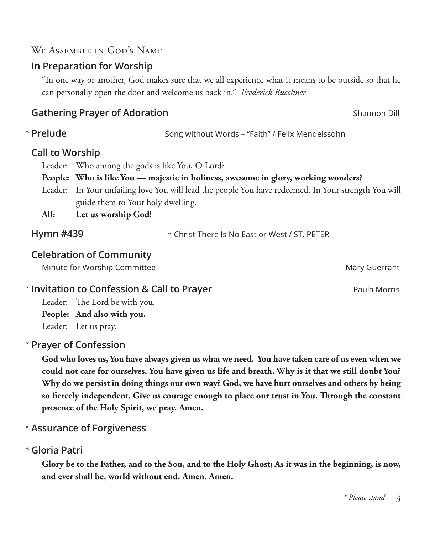# We Assemble in God's Name

## **In Preparation for Worship**

 "In one way or another, God makes sure that we all experience what it means to be outside so that he can personally open the door and welcome us back in." *Frederick Buechner*

# **Gathering Prayer of Adoration** Shannon Dill

\* Prelude

Song without Words - "Faith" / Felix Mendelssohn

# **Call to Worship**

|  | Leader: Who among the gods is like You, O Lord? |  |  |  |  |
|--|-------------------------------------------------|--|--|--|--|
|--|-------------------------------------------------|--|--|--|--|

### **People: Who is like You — majestic in holiness, awesome in glory, working wonders?**

- Leader: In Your unfailing love You will lead the people You have redeemed. In Your strength You will guide them to Your holy dwelling.
- **All: Let us worship God!**

**Hymn #439** In Christ There Is No East or West / ST. PETER

# **Celebration of Community**

Minute for Worship Committee Mary Guerrant Committee Mary Guerrant

# **Invitation to Confession & Call to Prayer <b>Example 20 Section** Paula Morris

Leader: The Lord be with you. **People: And also with you.** Leader: Let us pray.

# **Prayer of Confession**  \*

 **God who loves us, You have always given us what we need. You have taken care of us even when we could not care for ourselves. You have given us life and breath. Why is it that we still doubt You? Why do we persist in doing things our own way? God, we have hurt ourselves and others by being so fiercely independent. Give us courage enough to place our trust in You. Through the constant presence of the Holy Spirit, we pray. Amen.**

# **Assurance of Forgiveness** \*

**Gloria Patri** \*

 **Glory be to the Father, and to the Son, and to the Holy Ghost; As it was in the beginning, is now, and ever shall be, world without end. Amen. Amen.**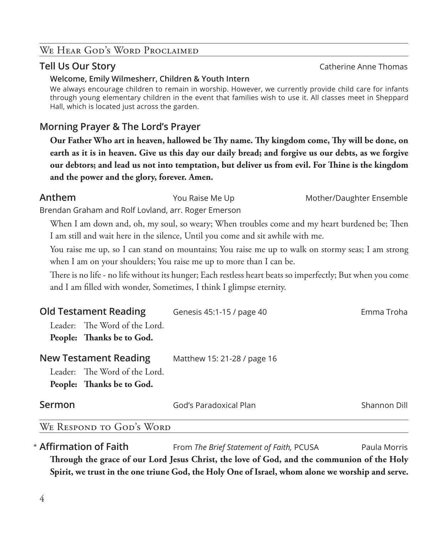## WE HEAR GOD'S WORD PROCLAIMED

**Tell Us Our Story** Catherine Anne Thomas

### **Welcome, Emily Wilmesherr, Children & Youth Intern**

 We always encourage children to remain in worship. However, we currently provide child care for infants through young elementary children in the event that families wish to use it. All classes meet in Sheppard Hall, which is located just across the garden.

# **Morning Prayer & The Lord's Prayer**

 **Our Father Who art in heaven, hallowed be Thy name. Thy kingdom come, Thy will be done, on earth as it is in heaven. Give us this day our daily bread; and forgive us our debts, as we forgive our debtors; and lead us not into temptation, but deliver us from evil. For Thine is the kingdom and the power and the glory, forever. Amen.**

**Anthem** You Raise Me Up Mother/Daughter Ensemble

Brendan Graham and Rolf Lovland, arr. Roger Emerson

 When I am down and, oh, my soul, so weary; When troubles come and my heart burdened be; Then I am still and wait here in the silence, Until you come and sit awhile with me.

 You raise me up, so I can stand on mountains; You raise me up to walk on stormy seas; I am strong when I am on your shoulders; You raise me up to more than I can be.

 There is no life - no life without its hunger; Each restless heart beats so imperfectly; But when you come and I am filled with wonder, Sometimes, I think I glimpse eternity.

|        | <b>Old Testament Reading</b>  | Genesis 45:1-15 / page 40   | Emma Troha   |
|--------|-------------------------------|-----------------------------|--------------|
|        | Leader: The Word of the Lord. |                             |              |
|        | People: Thanks be to God.     |                             |              |
|        | <b>New Testament Reading</b>  | Matthew 15: 21-28 / page 16 |              |
|        | Leader: The Word of the Lord. |                             |              |
|        | People: Thanks be to God.     |                             |              |
| Sermon |                               | God's Paradoxical Plan      | Shannon Dill |
|        | WE RESPOND TO GOD'S WORD      |                             |              |

**Affirmation of Faith** From *The Brief Statement of Faith,* PCUSA Paula Morris  **Through the grace of our Lord Jesus Christ, the love of God, and the communion of the Holy Spirit, we trust in the one triune God, the Holy One of Israel, whom alone we worship and serve. \* Affirmation of Faith**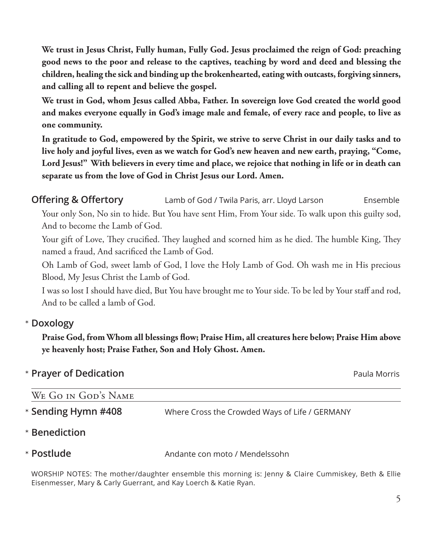**We trust in Jesus Christ, Fully human, Fully God. Jesus proclaimed the reign of God: preaching good news to the poor and release to the captives, teaching by word and deed and blessing the children, healing the sick and binding up the brokenhearted, eating with outcasts, forgiving sinners, and calling all to repent and believe the gospel.** 

 **We trust in God, whom Jesus called Abba, Father. In sovereign love God created the world good and makes everyone equally in God's image male and female, of every race and people, to live as one community.** 

 **In gratitude to God, empowered by the Spirit, we strive to serve Christ in our daily tasks and to live holy and joyful lives, even as we watch for God's new heaven and new earth, praying, "Come, Lord Jesus!" With believers in every time and place, we rejoice that nothing in life or in death can separate us from the love of God in Christ Jesus our Lord. Amen.**

**Offering & Offertory** Lamb of God / Twila Paris, arr. Lloyd Larson Ensemble Your only Son, No sin to hide. But You have sent Him, From Your side. To walk upon this guilty sod, And to become the Lamb of God.

 Your gift of Love, They crucified. They laughed and scorned him as he died. The humble King, They named a fraud, And sacrificed the Lamb of God.

 Oh Lamb of God, sweet lamb of God, I love the Holy Lamb of God. Oh wash me in His precious Blood, My Jesus Christ the Lamb of God.

 I was so lost I should have died, But You have brought me to Your side. To be led by Your staff and rod, And to be called a lamb of God.

# **Doxology** \*

 **Praise God, from Whom all blessings flow; Praise Him, all creatures here below; Praise Him above ye heavenly host; Praise Father, Son and Holy Ghost. Amen.**

| * Prayer of Dedication |                                                | Paula Morris |
|------------------------|------------------------------------------------|--------------|
| WE GO IN GOD'S NAME    |                                                |              |
| * Sending Hymn #408    | Where Cross the Crowded Ways of Life / GERMANY |              |
| * Benediction          |                                                |              |
| * Postlude             | Andante con moto / Mendelssohn                 |              |

WORSHIP NOTES: The mother/daughter ensemble this morning is: Jenny & Claire Cummiskey, Beth & Ellie Eisenmesser, Mary & Carly Guerrant, and Kay Loerch & Katie Ryan.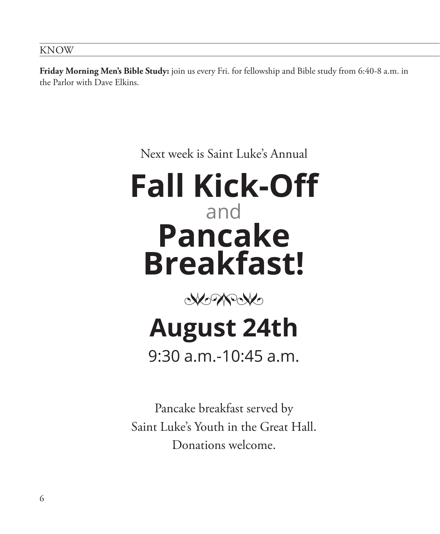# KNOW

**Friday Morning Men's Bible Study:** join us every Fri. for fellowship and Bible study from 6:40-8 a.m. in the Parlor with Dave Elkins.

Next week is Saint Luke's Annual

# **Fall Kick-Off** and **Pancake Breakfast!**

ethere

# **August 24th**

9:30 a.m.-10:45 a.m.

Pancake breakfast served by Saint Luke's Youth in the Great Hall. Donations welcome.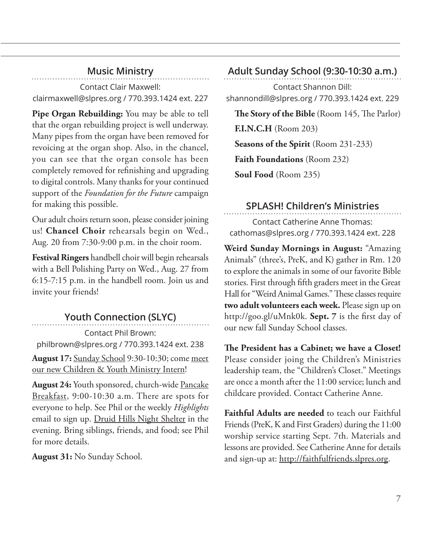# **Music Ministry**

Contact Clair Maxwell: clairmaxwell@slpres.org / 770.393.1424 ext. 227

**Pipe Organ Rebuilding:** You may be able to tell that the organ rebuilding project is well underway. Many pipes from the organ have been removed for revoicing at the organ shop. Also, in the chancel, you can see that the organ console has been completely removed for refinishing and upgrading to digital controls. Many thanks for your continued support of the *Foundation for the Future* campaign for making this possible.

Our adult choirs return soon, please consider joining us! **Chancel Choir** rehearsals begin on Wed., Aug. 20 from 7:30-9:00 p.m. in the choir room.

**Festival Ringers** handbell choir will begin rehearsals with a Bell Polishing Party on Wed., Aug. 27 from 6:15-7:15 p.m. in the handbell room. Join us and invite your friends!

# **Youth Connection (SLYC)**

Contact Phil Brown: philbrown@slpres.org / 770.393.1424 ext. 238

**August 17:** Sunday School 9:30-10:30; come meet our new Children & Youth Ministry Intern!

**August 24:** Youth sponsored, church-wide Pancake Breakfast, 9:00-10:30 a.m. There are spots for everyone to help. See Phil or the weekly *Highlights* email to sign up. Druid Hills Night Shelter in the evening. Bring siblings, friends, and food; see Phil for more details.

**August 31:** No Sunday School.

# **Adult Sunday School (9:30-10:30 a.m.)**

Contact Shannon Dill: shannondill@slpres.org / 770.393.1424 ext. 229 **The Story of the Bible** (Room 145, The Parlor) **F.I.N.C.H** (Room 203) **Seasons of the Spirit** (Room 231-233) **Faith Foundations** (Room 232) **Soul Food** (Room 235)

# **SPLASH! Children's Ministries**

Contact Catherine Anne Thomas: cathomas@slpres.org / 770.393.1424 ext. 228

**Weird Sunday Mornings in August:** "Amazing Animals" (three's, PreK, and K) gather in Rm. 120 to explore the animals in some of our favorite Bible stories. First through fifth graders meet in the Great Hall for "Weird Animal Games." These classes require **two adult volunteers each week.** Please sign up on http://goo.gl/uMnk0k. **Sept. 7** is the first day of our new fall Sunday School classes.

**The President has a Cabinet; we have a Closet!** Please consider joing the Children's Ministries leadership team, the "Children's Closet." Meetings are once a month after the 11:00 service; lunch and childcare provided. Contact Catherine Anne.

**Faithful Adults are needed** to teach our Faithful Friends (PreK, K and First Graders) during the 11:00 worship service starting Sept. 7th. Materials and lessons are provided. See Catherine Anne for details and sign-up at: http://faithfulfriends.slpres.org.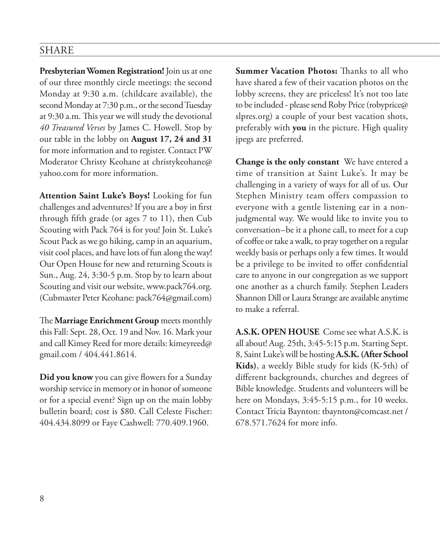## SHARE

**Presbyterian Women Registration!** Join us at one of our three monthly circle meetings: the second Monday at 9:30 a.m. (childcare available), the second Monday at 7:30 p.m., or the second Tuesday at 9:30 a.m. This year we will study the devotional *40 Treasured Verses* by James C. Howell. Stop by our table in the lobby on **August 17, 24 and 31** for more information and to register. Contact PW Moderator Christy Keohane at christykeohane@ yahoo.com for more information.

**Attention Saint Luke's Boys!** Looking for fun challenges and adventures? If you are a boy in first through fifth grade (or ages 7 to 11), then Cub Scouting with Pack 764 is for you! Join St. Luke's Scout Pack as we go hiking, camp in an aquarium, visit cool places, and have lots of fun along the way! Our Open House for new and returning Scouts is Sun., Aug. 24, 3:30-5 p.m. Stop by to learn about Scouting and visit our website, www.pack764.org. (Cubmaster Peter Keohane: pack764@gmail.com)

The **Marriage Enrichment Group** meets monthly this Fall: Sept. 28, Oct. 19 and Nov. 16. Mark your and call Kimey Reed for more details: kimeyreed@ gmail.com / 404.441.8614.

**Did you know** you can give flowers for a Sunday worship service in memory or in honor of someone or for a special event? Sign up on the main lobby bulletin board; cost is \$80. Call Celeste Fischer: 404.434.8099 or Faye Cashwell: 770.409.1960.

**Summer Vacation Photos:** Thanks to all who have shared a few of their vacation photos on the lobby screens, they are priceless! It's not too late to be included - please send Roby Price (robyprice@ slpres.org) a couple of your best vacation shots, preferably with **you** in the picture. High quality jpegs are preferred.

**Change is the only constant** We have entered a time of transition at Saint Luke's. It may be challenging in a variety of ways for all of us. Our Stephen Ministry team offers compassion to everyone with a gentle listening ear in a nonjudgmental way. We would like to invite you to conversation–be it a phone call, to meet for a cup of coffee or take a walk, to pray together on a regular weekly basis or perhaps only a few times. It would be a privilege to be invited to offer confidential care to anyone in our congregation as we support one another as a church family. Stephen Leaders Shannon Dill or Laura Strange are available anytime to make a referral.

**A.S.K. OPEN HOUSE** Come see what A.S.K. is all about! Aug. 25th, 3:45-5:15 p.m. Starting Sept. 8, Saint Luke's will be hosting **A.S.K. (After School Kids)**, a weekly Bible study for kids (K-5th) of different backgrounds, churches and degrees of Bible knowledge. Students and volunteers will be here on Mondays, 3:45-5:15 p.m., for 10 weeks. Contact Tricia Baynton: tbaynton@comcast.net / 678.571.7624 for more info.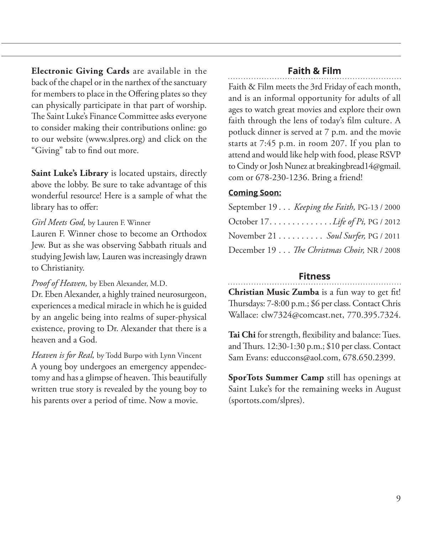**Electronic Giving Cards** are available in the back of the chapel or in the narthex of the sanctuary for members to place in the Offering plates so they can physically participate in that part of worship. The Saint Luke's Finance Committee asks everyone to consider making their contributions online: go to our website (www.slpres.org) and click on the "Giving" tab to find out more.

**Saint Luke's Library** is located upstairs, directly above the lobby. Be sure to take advantage of this wonderful resource! Here is a sample of what the library has to offer:

#### *Girl Meets God,* by Lauren F. Winner

Lauren F. Winner chose to become an Orthodox Jew. But as she was observing Sabbath rituals and studying Jewish law, Lauren was increasingly drawn to Christianity.

*Proof of Heaven,* by Eben Alexander, M.D.

Dr. Eben Alexander, a highly trained neurosurgeon, experiences a medical miracle in which he is guided by an angelic being into realms of super-physical existence, proving to Dr. Alexander that there is a heaven and a God.

*Heaven is for Real,* by Todd Burpo with Lynn Vincent A young boy undergoes an emergency appendectomy and has a glimpse of heaven. This beautifully written true story is revealed by the young boy to his parents over a period of time. Now a movie.

# **Faith & Film**

Faith & Film meets the 3rd Friday of each month, and is an informal opportunity for adults of all ages to watch great movies and explore their own faith through the lens of today's film culture. A potluck dinner is served at 7 p.m. and the movie starts at 7:45 p.m. in room 207. If you plan to attend and would like help with food, please RSVP to Cindy or Josh Nunez at breakingbread14@gmail. com or 678-230-1236. Bring a friend!

#### **Coming Soon:**

| September 19 Keeping the Faith, PG-13 / 2000 |
|----------------------------------------------|
| October 17. <i>Life of Pi</i> , PG / 2012    |
| November 21 Soul Surfer, PG / 2011           |
| December 19 The Christmas Choir, NR / 2008   |

## **Fitness**

**Christian Music Zumba** is a fun way to get fit! Thursdays: 7-8:00 p.m.; \$6 per class. Contact Chris Wallace: clw7324@comcast.net, 770.395.7324.

**Tai Chi** for strength, flexibility and balance: Tues. and Thurs. 12:30-1:30 p.m.; \$10 per class. Contact Sam Evans: educcons@aol.com, 678.650.2399.

**SporTots Summer Camp** still has openings at Saint Luke's for the remaining weeks in August (sportots.com/slpres).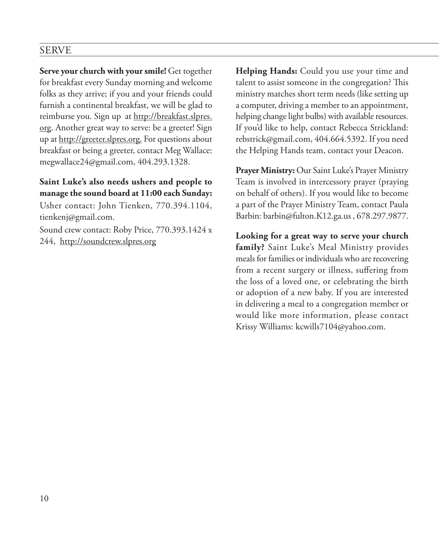# SERVE

**Serve your church with your smile!** Get together for breakfast every Sunday morning and welcome folks as they arrive; if you and your friends could furnish a continental breakfast, we will be glad to reimburse you. Sign up at http://breakfast.slpres. org. Another great way to serve: be a greeter! Sign up at http://greeter.slpres.org. For questions about breakfast or being a greeter, contact Meg Wallace: megwallace24@gmail.com, 404.293.1328.

# **Saint Luke's also needs ushers and people to manage the sound board at 11:00 each Sunday:**

Usher contact: John Tienken, 770.394.1104, tienkenj@gmail.com.

Sound crew contact: Roby Price, 770.393.1424 x 244, http://soundcrew.slpres.org

**Helping Hands:** Could you use your time and talent to assist someone in the congregation? This ministry matches short term needs (like setting up a computer, driving a member to an appointment, helping change light bulbs) with available resources. If you'd like to help, contact Rebecca Strickland: rebstrick@gmail.com, 404.664.5392. If you need the Helping Hands team, contact your Deacon.

**Prayer Ministry:** Our Saint Luke's Prayer Ministry Team is involved in intercessory prayer (praying on behalf of others). If you would like to become a part of the Prayer Ministry Team, contact Paula Barbin: barbin@fulton.K12.ga.us , 678.297.9877.

**Looking for a great way to serve your church family?** Saint Luke's Meal Ministry provides meals for families or individuals who are recovering from a recent surgery or illness, suffering from the loss of a loved one, or celebrating the birth or adoption of a new baby. If you are interested in delivering a meal to a congregation member or would like more information, please contact Krissy Williams: kcwills7104@yahoo.com.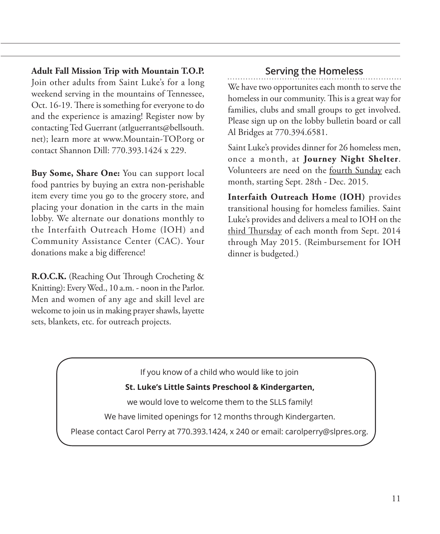**Adult Fall Mission Trip with Mountain T.O.P.** Join other adults from Saint Luke's for a long weekend serving in the mountains of Tennessee, Oct. 16-19. There is something for everyone to do and the experience is amazing! Register now by contacting Ted Guerrant (atlguerrants@bellsouth. net); learn more at www.Mountain-TOP.org or contact Shannon Dill: 770.393.1424 x 229.

**Buy Some, Share One:** You can support local food pantries by buying an extra non-perishable item every time you go to the grocery store, and placing your donation in the carts in the main lobby. We alternate our donations monthly to the Interfaith Outreach Home (IOH) and Community Assistance Center (CAC). Your donations make a big difference!

**R.O.C.K.** (Reaching Out Through Crocheting & Knitting): Every Wed., 10 a.m. - noon in the Parlor. Men and women of any age and skill level are welcome to join us in making prayer shawls, layette sets, blankets, etc. for outreach projects.

# **Serving the Homeless**

We have two opportunites each month to serve the homeless in our community. This is a great way for families, clubs and small groups to get involved. Please sign up on the lobby bulletin board or call Al Bridges at 770.394.6581.

Saint Luke's provides dinner for 26 homeless men, once a month, at **Journey Night Shelter**. Volunteers are need on the **fourth Sunday** each month, starting Sept. 28th - Dec. 2015.

**Interfaith Outreach Home (IOH)** provides transitional housing for homeless families. Saint Luke's provides and delivers a meal to IOH on the third Thursday of each month from Sept. 2014 through May 2015. (Reimbursement for IOH dinner is budgeted.)

If you know of a child who would like to join

# **St. Luke's Little Saints Preschool & Kindergarten,**

we would love to welcome them to the SLLS family!

We have limited openings for 12 months through Kindergarten.

Please contact Carol Perry at 770.393.1424, x 240 or email: carolperry@slpres.org.